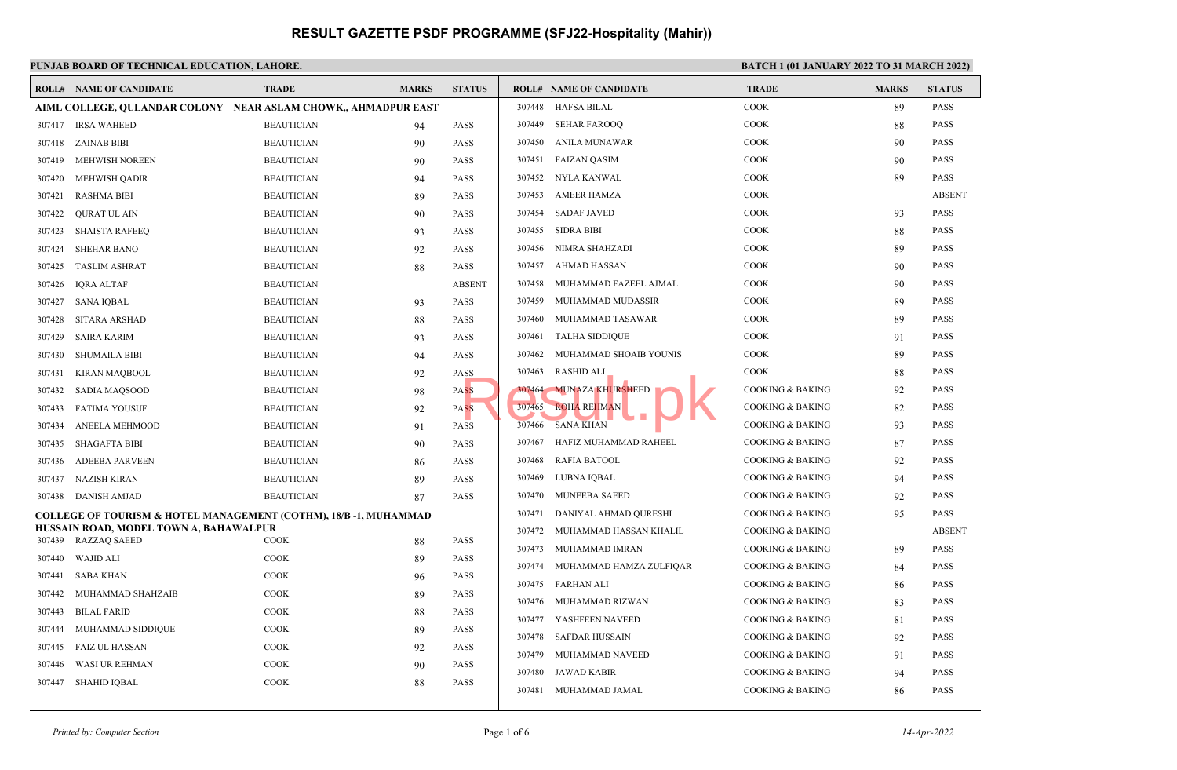#### **PUNJAB BOARD OF TECHNICAL EDUCATION, LAHORE. BATCH 1 (01 JANUARY 2022 TO 31 MARCH 2022) ROLL# NAME OF CANDIDATE TRADE MARKS STATUS ROLL# NAME OF CANDIDATE TRADE MARKS STATUS AIML COLLEGE, QULANDAR COLONY NEAR ASLAM CHOWK,, AHMADPUR EAST** 307417 IRSA WAHEED BEAUTICIAN 94 PASS 307418 ZAINAB BIBI BEAUTICIAN 90 PASS 307419 MEHWISH NOREEN BEAUTICIAN 90 PASS 307420 MEHWISH QADIR BEAUTICIAN 94 PASS 307421 RASHMA BIBI BEAUTICIAN 89 PASS 307422 QURAT UL AIN BEAUTICIAN 90 PASS 307423 SHAISTA RAFEEQ BEAUTICIAN 93 PASS 307424 SHEHAR BANO BEAUTICIAN 92 PASS 307425 TASLIM ASHRAT BEAUTICIAN 88 PASS 307426 IQRA ALTAF BEAUTICIAN ABSENT 307427 SANA IQBAL BEAUTICIAN 93 PASS 307428 SITARA ARSHAD BEAUTICIAN 88 PASS 307429 SAIRA KARIM BEAUTICIAN 93 PASS 307430 SHUMAILA BIBI BEAUTICIAN 94 PASS 307431 KIRAN MAQBOOL BEAUTICIAN 92 PASS 307432 SADIA MAQSOOD BEAUTICIAN 98 PASS 307433 FATIMA YOUSUF BEAUTICIAN 92 PASS 307434 ANEELA MEHMOOD BEAUTICIAN 91 PASS 307435 SHAGAFTA BIBI BEAUTICIAN 90 PASS 307436 ADEEBA PARVEEN BEAUTICIAN 86 PASS 307437 NAZISH KIRAN BEAUTICIAN 89 PASS 307438 DANISH AMJAD BEAUTICIAN 87 PASS **COLLEGE OF TOURISM & HOTEL MANAGEMENT (COTHM), 18/B -1, MUHAMMAD HUSSAIN ROAD, MODEL TOWN A, BAHAWALPUR** 307439 RAZZAQ SAEED COOK 88 PASS 307440 WAJID ALI COOK 89 PASS 307441 SABA KHAN COOK 96 PASS 307442 MUHAMMAD SHAHZAIB COOK 89 PASS 307443 BILAL FARID COOK 88 PASS 307444 MUHAMMAD SIDDIQUE COOK 89 PASS 307445 FAIZ UL HASSAN COOK 92 PASS 307446 WASI UR REHMAN COOK 90 PASS 307447 SHAHID IQBAL COOK 88 PASS 307448 HAFSA BILAL COOK 89 PASS 307449 SEHAR FAROOQ COOK 88 PASS 307450 ANILA MUNAWAR COOK 90 PASS 307451 FAIZAN QASIM COOK 90 PASS 307452 NYLA KANWAL COOK 89 PASS 307453 AMEER HAMZA COOK ABSENT 307454 SADAF JAVED COOK 93 PASS 307455 SIDRA BIBI COOK 88 PASS 307456 NIMRA SHAHZADI COOK 89 PASS 307457 AHMAD HASSAN COOK 90 PASS 307458 MUHAMMAD FAZEEL AJMAL COOK 90 PASS 307459 MUHAMMAD MUDASSIR COOK 89 PASS 307460 MUHAMMAD TASAWAR COOK 89 PASS 307461 TALHA SIDDIQUE COOK 91 PASS 307462 MUHAMMAD SHOAIB YOUNIS COOK 89 PASS 307463 RASHID ALI COOK 88 PASS 307464 MUNAZA KHURSHEED COOKING & BAKING 92 PASS 307465 ROHA REHMAN COOKING & BAKING 82 PASS  $307466$  SANA KHAN  $\overline{O}$   $\overline{O}$   $\overline{O}$  COOKING & BAKING 93 PASS 307467 HAFIZ MUHAMMAD RAHEEL COOKING & BAKING 87 PASS 307468 RAFIA BATOOL COOKING & BAKING 92 PASS 307469 LUBNA IQBAL COOKING & BAKING 94 PASS 307470 MUNEEBA SAEED COOKING & BAKING 92 PASS 307471 DANIYAL AHMAD QURESHI COOKING & BAKING 95 PASS 307472 MUHAMMAD HASSAN KHALIL COOKING & BAKING COOKING ABSENT 307473 MUHAMMAD IMRAN COOKING & BAKING 89 PASS 307474 MUHAMMAD HAMZA ZULFIQAR COOKING & BAKING 84 PASS 307475 FARHAN ALI COOKING & BAKING 86 PASS 307476 MUHAMMAD RIZWAN COOKING & BAKING 83 PASS 307477 YASHFEEN NAVEED COOKING & BAKING 81 PASS 307478 SAFDAR HUSSAIN COOKING & BAKING 92 PASS 307479 MUHAMMAD NAVEED COOKING & BAKING 91 PASS 307480 JAWAD KABIR COOKING & BAKING 94 PASS 307481 MUHAMMAD JAMAL COOKING & BAKING 86 PASS SS<br>
SSS 307464 MUNAZA KHURSHEED<br>
307466 SANA KHAN<br>
307466 SANA KHAN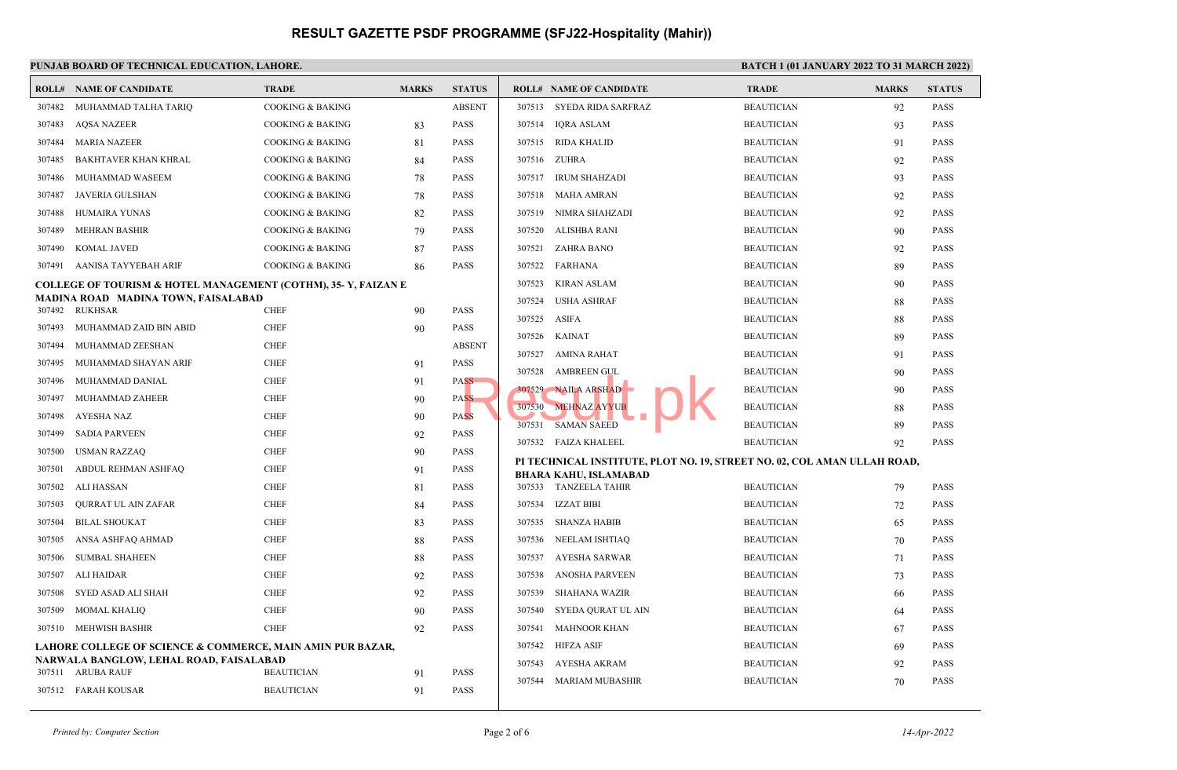| PUNJAB BOARD OF TECHNICAL EDUCATION, LAHORE.               |                                                                |                             |              |                     | <b>BATCH 1 (01 JANUARY 2022 TO 31 MARCH 2022)</b> |                                                                          |                   |              |               |
|------------------------------------------------------------|----------------------------------------------------------------|-----------------------------|--------------|---------------------|---------------------------------------------------|--------------------------------------------------------------------------|-------------------|--------------|---------------|
|                                                            | <b>ROLL# NAME OF CANDIDATE</b>                                 | <b>TRADE</b>                | <b>MARKS</b> | <b>STATUS</b>       |                                                   | <b>ROLL# NAME OF CANDIDATE</b>                                           | <b>TRADE</b>      | <b>MARKS</b> | <b>STATUS</b> |
| 307482                                                     | MUHAMMAD TALHA TARIQ                                           | <b>COOKING &amp; BAKING</b> |              | <b>ABSENT</b>       |                                                   | 307513 SYEDA RIDA SARFRAZ                                                | <b>BEAUTICIAN</b> | 92           | <b>PASS</b>   |
| 307483                                                     | <b>AQSA NAZEER</b>                                             | <b>COOKING &amp; BAKING</b> | 83           | PASS                | 307514                                            | IORA ASLAM                                                               | <b>BEAUTICIAN</b> | 93           | <b>PASS</b>   |
| 307484                                                     | <b>MARIA NAZEER</b>                                            | <b>COOKING &amp; BAKING</b> | 81           | PASS                | 307515                                            | RIDA KHALID                                                              | <b>BEAUTICIAN</b> | 91           | <b>PASS</b>   |
| 307485                                                     | BAKHTAVER KHAN KHRAL                                           | <b>COOKING &amp; BAKING</b> | 84           | PASS                | 307516                                            | ZUHRA                                                                    | <b>BEAUTICIAN</b> | 92           | <b>PASS</b>   |
| 307486                                                     | MUHAMMAD WASEEM                                                | <b>COOKING &amp; BAKING</b> | 78           | <b>PASS</b>         |                                                   | 307517 IRUM SHAHZADI                                                     | <b>BEAUTICIAN</b> | 93           | <b>PASS</b>   |
| 307487                                                     | JAVERIA GULSHAN                                                | COOKING & BAKING            | 78           | PASS                | 307518                                            | MAHA AMRAN                                                               | <b>BEAUTICIAN</b> | 92           | <b>PASS</b>   |
| 307488                                                     | HUMAIRA YUNAS                                                  | <b>COOKING &amp; BAKING</b> | 82           | PASS                | 307519                                            | NIMRA SHAHZADI                                                           | <b>BEAUTICIAN</b> | 92           | <b>PASS</b>   |
| 307489                                                     | <b>MEHRAN BASHIR</b>                                           | <b>COOKING &amp; BAKING</b> | 79           | PASS                | 307520                                            | ALISHBA RANI                                                             | <b>BEAUTICIAN</b> | 90           | <b>PASS</b>   |
| 307490                                                     | <b>KOMAL JAVED</b>                                             | <b>COOKING &amp; BAKING</b> | 87           | PASS                | 307521                                            | ZAHRA BANO                                                               | <b>BEAUTICIAN</b> | 92           | <b>PASS</b>   |
|                                                            | 307491 AANISA TAYYEBAH ARIF                                    | <b>COOKING &amp; BAKING</b> | 86           | PASS                | 307522                                            | FARHANA                                                                  | <b>BEAUTICIAN</b> | 89           | <b>PASS</b>   |
|                                                            | COLLEGE OF TOURISM & HOTEL MANAGEMENT (COTHM), 35- Y, FAIZAN E |                             |              |                     | 307523                                            | <b>KIRAN ASLAM</b>                                                       | <b>BEAUTICIAN</b> | 90           | <b>PASS</b>   |
|                                                            | MADINA ROAD MADINA TOWN, FAISALABAD<br>307492 RUKHSAR          | <b>CHEF</b>                 | 90           | PASS                | 307524                                            | <b>USHA ASHRAF</b>                                                       | <b>BEAUTICIAN</b> | 88           | <b>PASS</b>   |
| 307493                                                     | MUHAMMAD ZAID BIN ABID                                         | <b>CHEF</b>                 | 90           | PASS                | 307525                                            | ASIFA                                                                    | <b>BEAUTICIAN</b> | 88           | <b>PASS</b>   |
| 307494                                                     | MUHAMMAD ZEESHAN                                               | <b>CHEF</b>                 |              | <b>ABSENT</b>       | 307526                                            | KAINAT                                                                   | <b>BEAUTICIAN</b> | 89           | <b>PASS</b>   |
| 307495                                                     | MUHAMMAD SHAYAN ARIF                                           | <b>CHEF</b>                 | 91           | PASS                | 307527                                            | AMINA RAHAT                                                              | <b>BEAUTICIAN</b> | 91           | <b>PASS</b>   |
| 307496                                                     | MUHAMMAD DANIAL                                                | <b>CHEF</b>                 |              | <b>PASS</b>         | 307528                                            | AMBREEN GUL                                                              | <b>BEAUTICIAN</b> | 90           | <b>PASS</b>   |
| 307497                                                     | MUHAMMAD ZAHEER                                                | <b>CHEF</b>                 | 91           | PASS                |                                                   | 307529 NAILA ARSHAD                                                      | <b>BEAUTICIAN</b> | 90           | <b>PASS</b>   |
| 307498                                                     |                                                                | <b>CHEF</b>                 | 90           |                     | 307530                                            | <b>MEHNAZ AYYUB</b>                                                      | <b>BEAUTICIAN</b> | 88           | <b>PASS</b>   |
| 307499                                                     | AYESHA NAZ                                                     | <b>CHEF</b>                 | 90           | <b>PASS</b><br>PASS | 307531                                            | <b>SAMAN SAEED</b>                                                       | <b>BEAUTICIAN</b> | 89           | <b>PASS</b>   |
|                                                            | <b>SADIA PARVEEN</b>                                           |                             | 92           |                     |                                                   | 307532 FAIZA KHALEEL                                                     | <b>BEAUTICIAN</b> | 92           | <b>PASS</b>   |
| 307500                                                     | <b>USMAN RAZZAQ</b>                                            | <b>CHEF</b>                 | 90           | <b>PASS</b>         |                                                   | PI TECHNICAL INSTITUTE, PLOT NO. 19, STREET NO. 02, COL AMAN ULLAH ROAD, |                   |              |               |
| 307501                                                     | ABDUL REHMAN ASHFAQ                                            | <b>CHEF</b>                 | 91           | <b>PASS</b>         |                                                   | <b>BHARA KAHU, ISLAMABAD</b>                                             |                   |              |               |
| 307502                                                     | ALI HASSAN                                                     | <b>CHEF</b>                 | 81           | PASS                |                                                   | 307533 TANZEELA TAHIR                                                    | <b>BEAUTICIAN</b> | 79           | <b>PASS</b>   |
| 307503                                                     | QURRAT UL AIN ZAFAR                                            | <b>CHEF</b>                 | 84           | <b>PASS</b>         | 307534                                            | IZZAT BIBI                                                               | <b>BEAUTICIAN</b> | 72           | <b>PASS</b>   |
| 307504                                                     | <b>BILAL SHOUKAT</b>                                           | <b>CHEF</b>                 | 83           | PASS                | 307535                                            | SHANZA HABIB                                                             | <b>BEAUTICIAN</b> | 65           | <b>PASS</b>   |
| 307505                                                     | ANSA ASHFAQ AHMAD                                              | <b>CHEF</b>                 | 88           | PASS                | 307536                                            | NEELAM ISHTIAQ                                                           | <b>BEAUTICIAN</b> | 70           | <b>PASS</b>   |
| 307506                                                     | <b>SUMBAL SHAHEEN</b>                                          | <b>CHEF</b>                 | 88           | <b>PASS</b>         | 307537                                            | AYESHA SARWAR                                                            | <b>BEAUTICIAN</b> | 71           | <b>PASS</b>   |
| 307507                                                     | ALI HAIDAR                                                     | <b>CHEF</b>                 | 92           | <b>PASS</b>         | 307538                                            | <b>ANOSHA PARVEEN</b>                                                    | <b>BEAUTICIAN</b> | 73           | <b>PASS</b>   |
| 307508                                                     | SYED ASAD ALI SHAH                                             | <b>CHEF</b>                 | 92           | PASS                | 307539                                            | SHAHANA WAZIR                                                            | <b>BEAUTICIAN</b> | 66           | <b>PASS</b>   |
| 307509                                                     | <b>MOMAL KHALIQ</b>                                            | <b>CHEF</b>                 | 90           | PASS                | 307540                                            | SYEDA QURAT UL AIN                                                       | <b>BEAUTICIAN</b> | 64           | <b>PASS</b>   |
| 307510                                                     | MEHWISH BASHIR                                                 | <b>CHEF</b>                 | 92           | PASS                | 307541                                            | <b>MAHNOOR KHAN</b>                                                      | <b>BEAUTICIAN</b> | 67           | <b>PASS</b>   |
| LAHORE COLLEGE OF SCIENCE & COMMERCE, MAIN AMIN PUR BAZAR, |                                                                |                             |              |                     | 307542                                            | <b>HIFZA ASIF</b>                                                        | <b>BEAUTICIAN</b> | 69           | <b>PASS</b>   |
|                                                            | NARWALA BANGLOW, LEHAL ROAD, FAISALABAD<br>307511 ARUBA RAUF   | <b>BEAUTICIAN</b>           | 91           | PASS                | 307543                                            | AYESHA AKRAM                                                             | <b>BEAUTICIAN</b> | 92           | <b>PASS</b>   |
|                                                            | 307512 FARAH KOUSAR                                            | <b>BEAUTICIAN</b>           | 91           | <b>PASS</b>         | 307544                                            | MARIAM MUBASHIR                                                          | <b>BEAUTICIAN</b> | 70           | <b>PASS</b>   |
|                                                            |                                                                |                             |              |                     |                                                   |                                                                          |                   |              |               |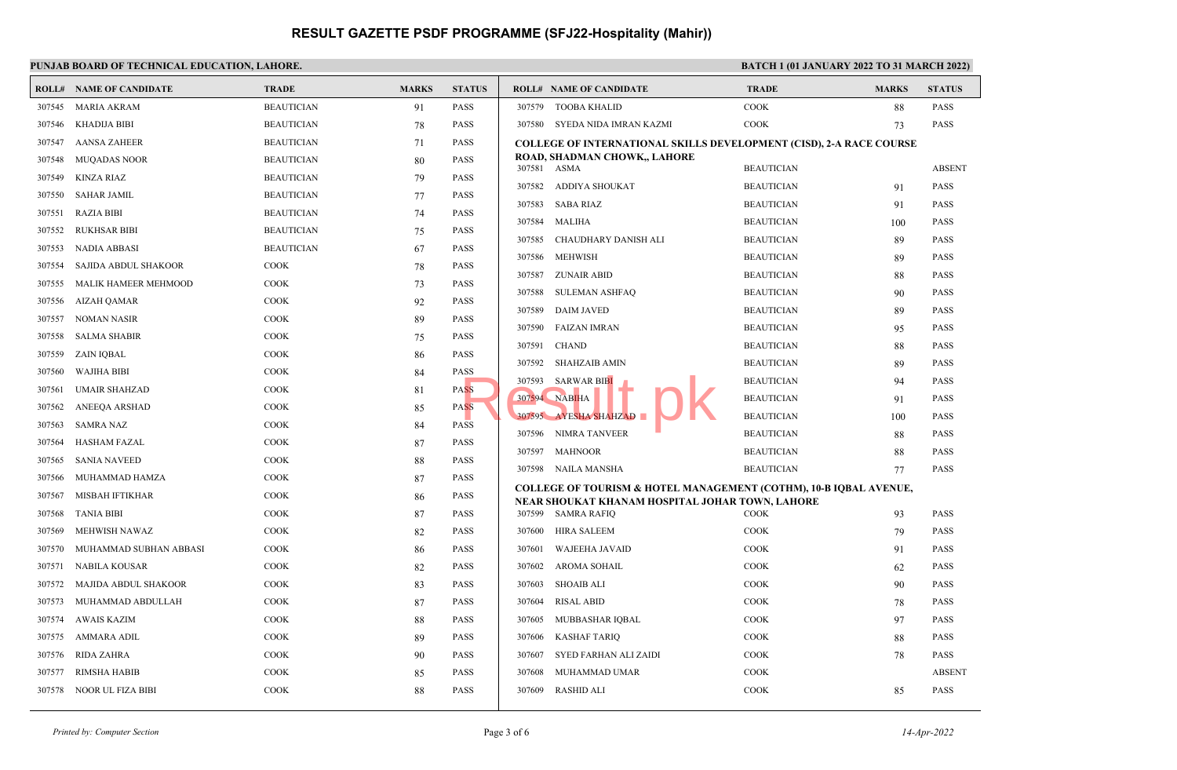#### **PUNJAB BOARD OF TECHNICAL EDUCATION, LAHORE. BATCH 1 (01 JANUARY 2022 TO 31 MARCH 2022)**

|        | <b>ROLL# NAME OF CANDIDATE</b> | <b>TRADE</b>      | <b>MARKS</b> | <b>STATUS</b> |                  | <b>ROLL# NAME OF CANDIDATE</b>                                                                                       | <b>TRADE</b>                           | <b>MARKS</b> | <b>STATUS</b>              |
|--------|--------------------------------|-------------------|--------------|---------------|------------------|----------------------------------------------------------------------------------------------------------------------|----------------------------------------|--------------|----------------------------|
| 307545 | MARIA AKRAM                    | <b>BEAUTICIAN</b> | 91           | <b>PASS</b>   |                  | 307579 TOOBA KHALID                                                                                                  | <b>COOK</b>                            | 88           | <b>PASS</b>                |
| 307546 | KHADIJA BIBI                   | <b>BEAUTICIAN</b> | 78           | <b>PASS</b>   |                  | 307580 SYEDA NIDA IMRAN KAZMI                                                                                        | <b>COOK</b>                            | 73           | <b>PASS</b>                |
| 307547 | <b>AANSA ZAHEER</b>            | <b>BEAUTICIAN</b> | 71           | <b>PASS</b>   |                  | <b>COLLEGE OF INTERNATIONAL SKILLS DEVELOPMENT (CISD), 2-A RACE COURSE</b>                                           |                                        |              |                            |
| 307548 | <b>MUQADAS NOOR</b>            | <b>BEAUTICIAN</b> | 80           | <b>PASS</b>   | 307581 ASMA      | ROAD, SHADMAN CHOWK,, LAHORE                                                                                         | <b>BEAUTICIAN</b>                      |              | <b>ABSENT</b>              |
| 307549 | <b>KINZA RIAZ</b>              | <b>BEAUTICIAN</b> | 79           | <b>PASS</b>   | 307582           |                                                                                                                      | <b>BEAUTICIAN</b>                      |              | <b>PASS</b>                |
| 307550 | <b>SAHAR JAMIL</b>             | <b>BEAUTICIAN</b> | 77           | <b>PASS</b>   | 307583           | ADDIYA SHOUKAT<br>SABA RIAZ                                                                                          | <b>BEAUTICIAN</b>                      | 91           | <b>PASS</b>                |
| 307551 | <b>RAZIA BIBI</b>              | <b>BEAUTICIAN</b> | 74           | <b>PASS</b>   |                  | MALIHA                                                                                                               |                                        | 91           |                            |
| 307552 | <b>RUKHSAR BIBI</b>            | <b>BEAUTICIAN</b> | 75           | <b>PASS</b>   | 307584<br>307585 | CHAUDHARY DANISH ALI                                                                                                 | <b>BEAUTICIAN</b><br><b>BEAUTICIAN</b> | 100          | <b>PASS</b><br><b>PASS</b> |
| 307553 | <b>NADIA ABBASI</b>            | <b>BEAUTICIAN</b> | 67           | <b>PASS</b>   |                  |                                                                                                                      |                                        | 89           |                            |
| 307554 | SAJIDA ABDUL SHAKOOR           | <b>COOK</b>       | 78           | <b>PASS</b>   | 307586           | <b>MEHWISH</b>                                                                                                       | <b>BEAUTICIAN</b>                      | 89           | <b>PASS</b>                |
| 307555 | MALIK HAMEER MEHMOOD           | COOK              | 73           | <b>PASS</b>   | 307587           | <b>ZUNAIR ABID</b>                                                                                                   | <b>BEAUTICIAN</b>                      | 88           | <b>PASS</b>                |
| 307556 | AIZAH QAMAR                    | COOK              | 92           | <b>PASS</b>   | 307588           | <b>SULEMAN ASHFAQ</b>                                                                                                | <b>BEAUTICIAN</b>                      | 90           | <b>PASS</b>                |
| 307557 | NOMAN NASIR                    | <b>COOK</b>       | 89           | <b>PASS</b>   | 307589           | DAIM JAVED                                                                                                           | <b>BEAUTICIAN</b>                      | 89           | <b>PASS</b>                |
| 307558 | <b>SALMA SHABIR</b>            | COOK              | 75           | PASS          | 307590           | FAIZAN IMRAN                                                                                                         | <b>BEAUTICIAN</b>                      | 95           | <b>PASS</b>                |
| 307559 | ZAIN IQBAL                     | COOK              | 86           | <b>PASS</b>   | 307591           | <b>CHAND</b>                                                                                                         | <b>BEAUTICIAN</b>                      | 88           | <b>PASS</b>                |
| 307560 | <b>WAJIHA BIBI</b>             | COOK              | 84           | <b>PASS</b>   | 307592           | SHAHZAIB AMIN                                                                                                        | <b>BEAUTICIAN</b>                      | 89           | <b>PASS</b>                |
| 307561 | <b>UMAIR SHAHZAD</b>           | COOK              | 81           | <b>PASS</b>   | 307593           | <b>SARWAR BIBI</b>                                                                                                   | <b>BEAUTICIAN</b>                      | 94           | <b>PASS</b>                |
| 307562 | ANEEQA ARSHAD                  | COOK              | 85           | <b>PASS</b>   |                  | 307594 NABIHA                                                                                                        | <b>BEAUTICIAN</b>                      | 91           | <b>PASS</b>                |
| 307563 | <b>SAMRA NAZ</b>               | COOK              | 84           | <b>PASS</b>   |                  | 307595 AYESHA SHAHZAD                                                                                                | <b>BEAUTICIAN</b>                      | 100          | PASS                       |
| 307564 | <b>HASHAM FAZAL</b>            | <b>COOK</b>       | 87           | <b>PASS</b>   |                  | 307596 NIMRA TANVEER                                                                                                 | <b>BEAUTICIAN</b>                      | 88           | <b>PASS</b>                |
| 307565 | <b>SANIA NAVEED</b>            | COOK              | 88           | <b>PASS</b>   |                  | 307597 MAHNOOR                                                                                                       | <b>BEAUTICIAN</b>                      | 88           | <b>PASS</b>                |
| 307566 | MUHAMMAD HAMZA                 | COOK              | 87           | PASS          |                  | 307598 NAILA MANSHA                                                                                                  | <b>BEAUTICIAN</b>                      | 77           | <b>PASS</b>                |
| 307567 | MISBAH IFTIKHAR                | COOK              | 86           | <b>PASS</b>   |                  | COLLEGE OF TOURISM & HOTEL MANAGEMENT (COTHM), 10-B IQBAL AVENUE,<br>NEAR SHOUKAT KHANAM HOSPITAL JOHAR TOWN, LAHORE |                                        |              |                            |
| 307568 | <b>TANIA BIBI</b>              | COOK              | 87           | <b>PASS</b>   |                  | 307599 SAMRA RAFIQ                                                                                                   | <b>COOK</b>                            | 93           | <b>PASS</b>                |
| 307569 | MEHWISH NAWAZ                  | COOK              | 82           | <b>PASS</b>   | 307600           | HIRA SALEEM                                                                                                          | <b>COOK</b>                            | 79           | <b>PASS</b>                |
| 307570 | MUHAMMAD SUBHAN ABBASI         | COOK              | 86           | <b>PASS</b>   | 307601           | WAJEEHA JAVAID                                                                                                       | <b>COOK</b>                            | 91           | <b>PASS</b>                |
| 307571 | NABILA KOUSAR                  | COOK              | 82           | <b>PASS</b>   | 307602           | AROMA SOHAIL                                                                                                         | COOK                                   | 62           | <b>PASS</b>                |
| 307572 | MAJIDA ABDUL SHAKOOR           | COOK              | 83           | <b>PASS</b>   | 307603           | <b>SHOAIB ALI</b>                                                                                                    | COOK                                   | 90           | <b>PASS</b>                |
| 307573 | MUHAMMAD ABDULLAH              | <b>COOK</b>       | 87           | <b>PASS</b>   | 307604           | <b>RISAL ABID</b>                                                                                                    | <b>COOK</b>                            | 78           | <b>PASS</b>                |
| 307574 | <b>AWAIS KAZIM</b>             | COOK              | 88           | <b>PASS</b>   | 307605           | MUBBASHAR IQBAL                                                                                                      | COOK                                   | 97           | <b>PASS</b>                |
| 307575 | AMMARA ADIL                    | COOK              | 89           | <b>PASS</b>   | 307606           | <b>KASHAF TARIQ</b>                                                                                                  | COOK                                   | 88           | <b>PASS</b>                |
| 307576 | <b>RIDA ZAHRA</b>              | COOK              | 90           | <b>PASS</b>   | 307607           | SYED FARHAN ALI ZAIDI                                                                                                | COOK                                   | 78           | <b>PASS</b>                |
| 307577 | RIMSHA HABIB                   | COOK              | 85           | <b>PASS</b>   | 307608           | MUHAMMAD UMAR                                                                                                        | <b>COOK</b>                            |              | <b>ABSENT</b>              |
| 307578 | NOOR UL FIZA BIBI              | <b>COOK</b>       | 88           | <b>PASS</b>   | 307609           | RASHID ALI                                                                                                           | <b>COOK</b>                            | 85           | <b>PASS</b>                |
|        |                                |                   |              |               |                  |                                                                                                                      |                                        |              |                            |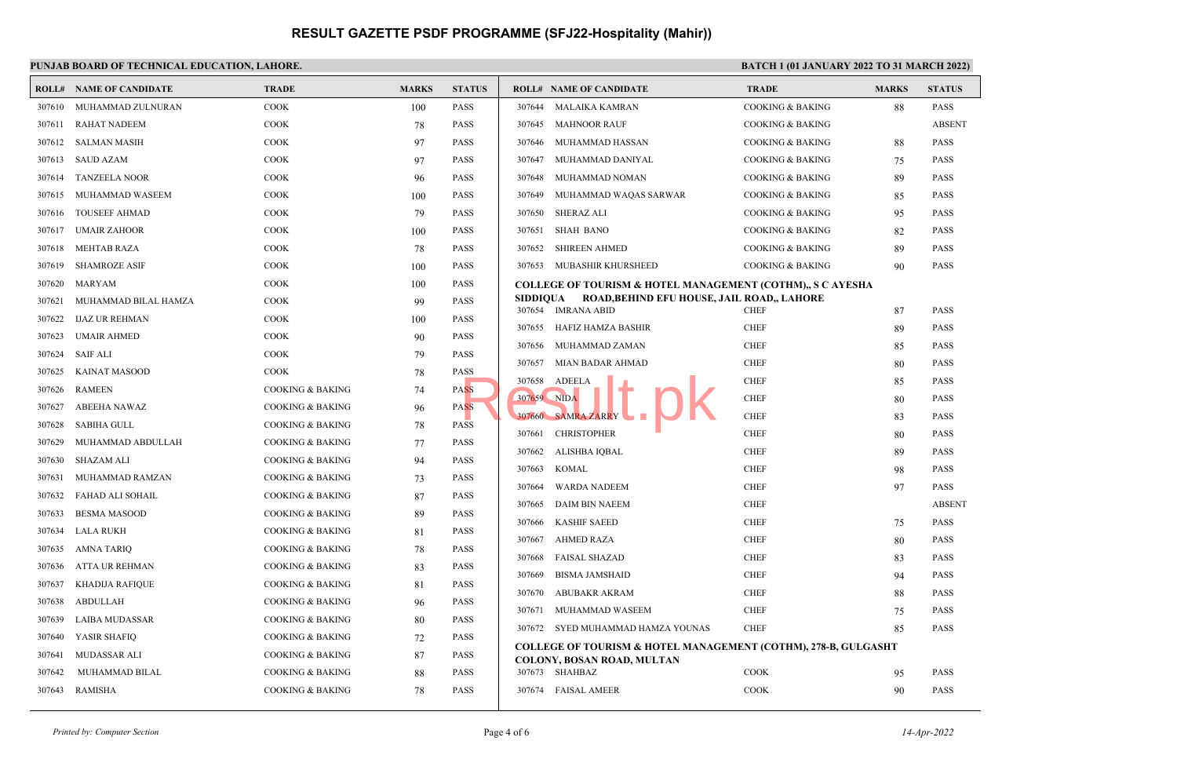## PUNJAB BOARD OF TECHNICAL EDUCATION, LAHORE. **BATCH 1 (01 JANUARY 2022 TO 31 MARCH 2022**)

|        | <b>ROLL# NAME OF CANDIDATE</b> | <b>TRADE</b>                | <b>MARKS</b> | <b>STATUS</b> |                  | <b>ROLL# NAME OF CANDIDATE</b>                                                                                 | <b>TRADE</b>                | <b>MARKS</b> | <b>STATUS</b> |
|--------|--------------------------------|-----------------------------|--------------|---------------|------------------|----------------------------------------------------------------------------------------------------------------|-----------------------------|--------------|---------------|
| 307610 | MUHAMMAD ZULNURAN              | COOK                        | 100          | <b>PASS</b>   | 307644           | MALAIKA KAMRAN                                                                                                 | <b>COOKING &amp; BAKING</b> | 88           | <b>PASS</b>   |
| 307611 | <b>RAHAT NADEEM</b>            | <b>COOK</b>                 | 78           | <b>PASS</b>   | 307645           | <b>MAHNOOR RAUF</b>                                                                                            | <b>COOKING &amp; BAKING</b> |              | <b>ABSENT</b> |
| 307612 | SALMAN MASIH                   | <b>COOK</b>                 | 97           | <b>PASS</b>   | 307646           | MUHAMMAD HASSAN                                                                                                | <b>COOKING &amp; BAKING</b> | 88           | <b>PASS</b>   |
| 307613 | <b>SAUD AZAM</b>               | <b>COOK</b>                 | 97           | <b>PASS</b>   | 307647           | MUHAMMAD DANIYAL                                                                                               | <b>COOKING &amp; BAKING</b> | 75           | <b>PASS</b>   |
| 307614 | <b>TANZEELA NOOR</b>           | <b>COOK</b>                 | 96           | <b>PASS</b>   | 307648           | MUHAMMAD NOMAN                                                                                                 | <b>COOKING &amp; BAKING</b> | 89           | <b>PASS</b>   |
| 307615 | MUHAMMAD WASEEM                | <b>COOK</b>                 | 100          | <b>PASS</b>   | 307649           | MUHAMMAD WAQAS SARWAR                                                                                          | <b>COOKING &amp; BAKING</b> | 85           | <b>PASS</b>   |
| 307616 | <b>TOUSEEF AHMAD</b>           | <b>COOK</b>                 | 79           | <b>PASS</b>   | 307650           | SHERAZ ALI                                                                                                     | <b>COOKING &amp; BAKING</b> | 95           | <b>PASS</b>   |
| 307617 | <b>UMAIR ZAHOOR</b>            | COOK                        | 100          | <b>PASS</b>   | 307651           | <b>SHAH BANO</b>                                                                                               | <b>COOKING &amp; BAKING</b> | 82           | <b>PASS</b>   |
| 307618 | <b>MEHTAB RAZA</b>             | COOK                        | 78           | <b>PASS</b>   | 307652           | <b>SHIREEN AHMED</b>                                                                                           | <b>COOKING &amp; BAKING</b> | 89           | <b>PASS</b>   |
| 307619 | <b>SHAMROZE ASIF</b>           | <b>COOK</b>                 | 100          | <b>PASS</b>   | 307653           | MUBASHIR KHURSHEED                                                                                             | <b>COOKING &amp; BAKING</b> | 90           | <b>PASS</b>   |
| 307620 | MARYAM                         | <b>COOK</b>                 | 100          | <b>PASS</b>   |                  | <b>COLLEGE OF TOURISM &amp; HOTEL MANAGEMENT (COTHM),, S C AYESHA</b>                                          |                             |              |               |
| 307621 | MUHAMMAD BILAL HAMZA           | <b>COOK</b>                 | 99           | <b>PASS</b>   | SIDDIOUA         | ROAD, BEHIND EFU HOUSE, JAIL ROAD,, LAHORE                                                                     | <b>CHEF</b>                 |              | <b>PASS</b>   |
| 307622 | <b>IJAZ UR REHMAN</b>          | COOK                        | 100          | <b>PASS</b>   |                  | 307654 IMRANA ABID                                                                                             | <b>CHEF</b>                 | 87           | <b>PASS</b>   |
| 307623 | UMAIR AHMED                    | <b>COOK</b>                 | 90           | <b>PASS</b>   | 307655<br>307656 | HAFIZ HAMZA BASHIR<br>MUHAMMAD ZAMAN                                                                           | <b>CHEF</b>                 | 89           | <b>PASS</b>   |
| 307624 | SAIF ALI                       | <b>COOK</b>                 | 79           | <b>PASS</b>   | 307657           | MIAN BADAR AHMAD                                                                                               | <b>CHEF</b>                 | 85           | <b>PASS</b>   |
| 307625 | KAINAT MASOOD                  | <b>COOK</b>                 | 78           | <b>PASS</b>   | 307658           | ADEELA                                                                                                         | <b>CHEF</b>                 | 80           | <b>PASS</b>   |
| 307626 | <b>RAMEEN</b>                  | <b>COOKING &amp; BAKING</b> | 74           | <b>PASS</b>   | 307659 NIDA      |                                                                                                                | <b>CHEF</b>                 | 85           | <b>PASS</b>   |
| 307627 | ABEEHA NAWAZ                   | <b>COOKING &amp; BAKING</b> | 96           | <b>PASS</b>   |                  | 307660 SAMRA ZARRY                                                                                             | <b>CHEF</b>                 | 80           | <b>PASS</b>   |
| 307628 | <b>SABIHA GULL</b>             | <b>COOKING &amp; BAKING</b> | 78           | <b>PASS</b>   | 307661           | <b>CHRISTOPHER</b>                                                                                             | <b>CHEF</b>                 | 83           | <b>PASS</b>   |
| 307629 | MUHAMMAD ABDULLAH              | <b>COOKING &amp; BAKING</b> | 77           | <b>PASS</b>   |                  | ALISHBA IQBAL                                                                                                  | <b>CHEF</b>                 | 80           | <b>PASS</b>   |
| 307630 | SHAZAM ALI                     | <b>COOKING &amp; BAKING</b> | 94           | <b>PASS</b>   | 307662<br>307663 | KOMAL                                                                                                          | <b>CHEF</b>                 | 89           | <b>PASS</b>   |
| 307631 | MUHAMMAD RAMZAN                | <b>COOKING &amp; BAKING</b> | 73           | <b>PASS</b>   |                  |                                                                                                                | <b>CHEF</b>                 | 98<br>97     | <b>PASS</b>   |
| 307632 | FAHAD ALI SOHAIL               | <b>COOKING &amp; BAKING</b> | 87           | <b>PASS</b>   | 307664<br>307665 | WARDA NADEEM<br><b>DAIM BIN NAEEM</b>                                                                          | <b>CHEF</b>                 |              | <b>ABSENT</b> |
| 307633 | <b>BESMA MASOOD</b>            | <b>COOKING &amp; BAKING</b> | 89           | <b>PASS</b>   |                  |                                                                                                                | <b>CHEF</b>                 |              | <b>PASS</b>   |
| 307634 | <b>LALA RUKH</b>               | <b>COOKING &amp; BAKING</b> | 81           | <b>PASS</b>   | 307666<br>307667 | <b>KASHIF SAEED</b><br>AHMED RAZA                                                                              | <b>CHEF</b>                 | 75           | <b>PASS</b>   |
| 307635 | AMNA TARIQ                     | <b>COOKING &amp; BAKING</b> | 78           | <b>PASS</b>   | 307668           | <b>FAISAL SHAZAD</b>                                                                                           | <b>CHEF</b>                 | 80           | <b>PASS</b>   |
| 307636 | ATTA UR REHMAN                 | <b>COOKING &amp; BAKING</b> | 83           | PASS          | 307669           | <b>BISMA JAMSHAID</b>                                                                                          | <b>CHEF</b>                 | 83           | <b>PASS</b>   |
| 307637 | KHADIJA RAFIQUE                | <b>COOKING &amp; BAKING</b> | 81           | <b>PASS</b>   |                  |                                                                                                                |                             | 94           |               |
| 307638 | ABDULLAH                       | <b>COOKING &amp; BAKING</b> | 96           | <b>PASS</b>   | 307670           | ABUBAKR AKRAM                                                                                                  | <b>CHEF</b>                 | 88           | <b>PASS</b>   |
| 307639 | LAIBA MUDASSAR                 | <b>COOKING &amp; BAKING</b> | 80           | <b>PASS</b>   | 307671           | MUHAMMAD WASEEM                                                                                                | <b>CHEF</b>                 | 75           | <b>PASS</b>   |
| 307640 | YASIR SHAFIQ                   | <b>COOKING &amp; BAKING</b> | 72           | <b>PASS</b>   |                  | 307672 SYED MUHAMMAD HAMZA YOUNAS                                                                              | <b>CHEF</b>                 | 85           | <b>PASS</b>   |
| 307641 | MUDASSAR ALI                   | <b>COOKING &amp; BAKING</b> | 87           | <b>PASS</b>   |                  | <b>COLLEGE OF TOURISM &amp; HOTEL MANAGEMENT (COTHM), 278-B, GULGASHT</b><br><b>COLONY, BOSAN ROAD, MULTAN</b> |                             |              |               |
| 307642 | MUHAMMAD BILAL                 | <b>COOKING &amp; BAKING</b> | 88           | <b>PASS</b>   |                  | 307673 SHAHBAZ                                                                                                 | <b>COOK</b>                 | 95           | <b>PASS</b>   |
|        | 307643 RAMISHA                 | <b>COOKING &amp; BAKING</b> | 78           | <b>PASS</b>   |                  | 307674 FAISAL AMEER                                                                                            | COOK                        | 90           | <b>PASS</b>   |
|        |                                |                             |              |               |                  |                                                                                                                |                             |              |               |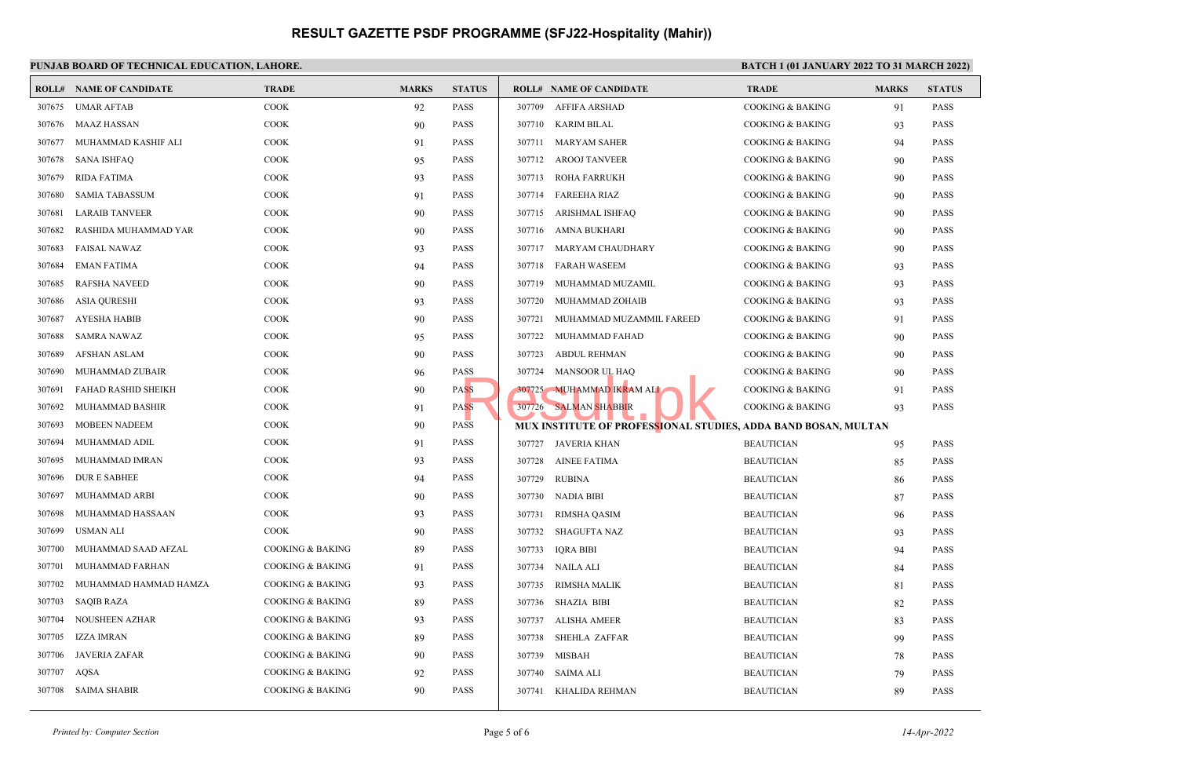## **PUNJAB BOARD OF TECHNICAL EDUCATION, LAHORE.**

|        | <b>ROLL# NAME OF CANDIDATE</b> | <b>TRADE</b>                | <b>MARKS</b> | <b>STATUS</b> |        | <b>ROLL# NAME OF CANDIDATE</b>                                 | <b>TRADE</b>                | <b>MARKS</b> | <b>STATUS</b> |
|--------|--------------------------------|-----------------------------|--------------|---------------|--------|----------------------------------------------------------------|-----------------------------|--------------|---------------|
| 307675 | <b>UMAR AFTAB</b>              | <b>COOK</b>                 | 92           | <b>PASS</b>   | 307709 | <b>AFFIFA ARSHAD</b>                                           | <b>COOKING &amp; BAKING</b> | 91           | <b>PASS</b>   |
| 307676 | MAAZ HASSAN                    | <b>COOK</b>                 | 90           | <b>PASS</b>   |        | 307710 KARIM BILAL                                             | <b>COOKING &amp; BAKING</b> | 93           | <b>PASS</b>   |
| 307677 | MUHAMMAD KASHIF ALI            | <b>COOK</b>                 | 91           | <b>PASS</b>   | 307711 | <b>MARYAM SAHER</b>                                            | <b>COOKING &amp; BAKING</b> | 94           | <b>PASS</b>   |
| 307678 | SANA ISHFAQ                    | COOK                        | 95           | <b>PASS</b>   |        | 307712 AROOJ TANVEER                                           | <b>COOKING &amp; BAKING</b> | 90           | <b>PASS</b>   |
| 307679 | RIDA FATIMA                    | COOK                        | 93           | <b>PASS</b>   |        | 307713 ROHA FARRUKH                                            | <b>COOKING &amp; BAKING</b> | 90           | <b>PASS</b>   |
| 307680 | <b>SAMIA TABASSUM</b>          | <b>COOK</b>                 | 91           | <b>PASS</b>   |        | 307714 FAREEHA RIAZ                                            | <b>COOKING &amp; BAKING</b> | 90           | <b>PASS</b>   |
| 307681 | <b>LARAIB TANVEER</b>          | <b>COOK</b>                 | 90           | <b>PASS</b>   |        | 307715 ARISHMAL ISHFAQ                                         | <b>COOKING &amp; BAKING</b> | 90           | <b>PASS</b>   |
| 307682 | RASHIDA MUHAMMAD YAR           | <b>COOK</b>                 | 90           | <b>PASS</b>   |        | 307716 AMNA BUKHARI                                            | <b>COOKING &amp; BAKING</b> | 90           | <b>PASS</b>   |
| 307683 | <b>FAISAL NAWAZ</b>            | <b>COOK</b>                 | 93           | <b>PASS</b>   | 307717 | MARYAM CHAUDHARY                                               | <b>COOKING &amp; BAKING</b> | 90           | <b>PASS</b>   |
| 307684 | <b>EMAN FATIMA</b>             | <b>COOK</b>                 | 94           | <b>PASS</b>   | 307718 | <b>FARAH WASEEM</b>                                            | <b>COOKING &amp; BAKING</b> | 93           | <b>PASS</b>   |
| 307685 | <b>RAFSHA NAVEED</b>           | COOK                        | 90           | <b>PASS</b>   | 307719 | MUHAMMAD MUZAMIL                                               | <b>COOKING &amp; BAKING</b> | 93           | <b>PASS</b>   |
| 307686 | <b>ASIA QURESHI</b>            | <b>COOK</b>                 | 93           | <b>PASS</b>   | 307720 | MUHAMMAD ZOHAIB                                                | <b>COOKING &amp; BAKING</b> | 93           | <b>PASS</b>   |
| 307687 | AYESHA HABIB                   | <b>COOK</b>                 | 90           | <b>PASS</b>   | 307721 | MUHAMMAD MUZAMMIL FAREED                                       | <b>COOKING &amp; BAKING</b> | 91           | <b>PASS</b>   |
| 307688 | <b>SAMRA NAWAZ</b>             | COOK                        | 95           | <b>PASS</b>   | 307722 | MUHAMMAD FAHAD                                                 | <b>COOKING &amp; BAKING</b> | 90           | <b>PASS</b>   |
| 307689 | <b>AFSHAN ASLAM</b>            | <b>COOK</b>                 | 90           | <b>PASS</b>   | 307723 | <b>ABDUL REHMAN</b>                                            | <b>COOKING &amp; BAKING</b> | 90           | <b>PASS</b>   |
| 307690 | MUHAMMAD ZUBAIR                | <b>COOK</b>                 | 96           | <b>PASS</b>   | 307724 | <b>MANSOOR UL HAQ</b>                                          | <b>COOKING &amp; BAKING</b> | 90           | <b>PASS</b>   |
| 307691 | FAHAD RASHID SHEIKH            | <b>COOK</b>                 | 90           | <b>PASS</b>   |        | 307725 MUHAMMAD IKRAM ALI                                      | <b>COOKING &amp; BAKING</b> | 91           | <b>PASS</b>   |
| 307692 | MUHAMMAD BASHIR                | <b>COOK</b>                 | 91           | <b>PASS</b>   |        | 307726 SALMAN SHABBIR                                          | <b>COOKING &amp; BAKING</b> | 93           | <b>PASS</b>   |
| 307693 | <b>MOBEEN NADEEM</b>           | <b>COOK</b>                 | 90           | <b>PASS</b>   |        | MUX INSTITUTE OF PROFESSIONAL STUDIES, ADDA BAND BOSAN, MULTAN |                             |              |               |
| 307694 | MUHAMMAD ADIL                  | COOK                        | 91           | <b>PASS</b>   |        | 307727 JAVERIA KHAN                                            | <b>BEAUTICIAN</b>           | 95           | <b>PASS</b>   |
| 307695 | MUHAMMAD IMRAN                 | <b>COOK</b>                 | 93           | <b>PASS</b>   | 307728 | AINEE FATIMA                                                   | <b>BEAUTICIAN</b>           | 85           | <b>PASS</b>   |
| 307696 | <b>DUR E SABHEE</b>            | <b>COOK</b>                 | 94           | <b>PASS</b>   | 307729 | RUBINA                                                         | <b>BEAUTICIAN</b>           | 86           | <b>PASS</b>   |
| 307697 | MUHAMMAD ARBI                  | COOK                        | 90           | <b>PASS</b>   |        | 307730 NADIA BIBI                                              | <b>BEAUTICIAN</b>           | 87           | <b>PASS</b>   |
| 307698 | MUHAMMAD HASSAAN               | <b>COOK</b>                 | 93           | <b>PASS</b>   | 307731 | <b>RIMSHA QASIM</b>                                            | <b>BEAUTICIAN</b>           | 96           | <b>PASS</b>   |
| 307699 | USMAN ALI                      | <b>COOK</b>                 | 90           | <b>PASS</b>   | 307732 | <b>SHAGUFTA NAZ</b>                                            | <b>BEAUTICIAN</b>           | 93           | <b>PASS</b>   |
| 307700 | MUHAMMAD SAAD AFZAL            | <b>COOKING &amp; BAKING</b> | 89           | <b>PASS</b>   | 307733 | <b>IQRA BIBI</b>                                               | <b>BEAUTICIAN</b>           | 94           | <b>PASS</b>   |
| 307701 | MUHAMMAD FARHAN                | <b>COOKING &amp; BAKING</b> | 91           | <b>PASS</b>   | 307734 | <b>NAILA ALI</b>                                               | <b>BEAUTICIAN</b>           | 84           | <b>PASS</b>   |
| 307702 | MUHAMMAD HAMMAD HAMZA          | <b>COOKING &amp; BAKING</b> | 93           | <b>PASS</b>   | 307735 | RIMSHA MALIK                                                   | <b>BEAUTICIAN</b>           | 81           | <b>PASS</b>   |
| 307703 | <b>SAQIB RAZA</b>              | COOKING & BAKING            | 89           | <b>PASS</b>   | 307736 | <b>SHAZIA BIBI</b>                                             | <b>BEAUTICIAN</b>           | 82           | <b>PASS</b>   |
| 307704 | NOUSHEEN AZHAR                 | <b>COOKING &amp; BAKING</b> | 93           | <b>PASS</b>   | 307737 | ALISHA AMEER                                                   | <b>BEAUTICIAN</b>           | 83           | <b>PASS</b>   |
| 307705 | IZZA IMRAN                     | <b>COOKING &amp; BAKING</b> | 89           | <b>PASS</b>   | 307738 | <b>SHEHLA ZAFFAR</b>                                           | <b>BEAUTICIAN</b>           | 99           | <b>PASS</b>   |
| 307706 | <b>JAVERIA ZAFAR</b>           | COOKING & BAKING            | 90           | <b>PASS</b>   | 307739 | MISBAH                                                         | <b>BEAUTICIAN</b>           | 78           | <b>PASS</b>   |
| 307707 | AQSA                           | <b>COOKING &amp; BAKING</b> | 92           | <b>PASS</b>   | 307740 | <b>SAIMA ALI</b>                                               | <b>BEAUTICIAN</b>           | 79           | <b>PASS</b>   |
|        | 307708 SAIMA SHABIR            | <b>COOKING &amp; BAKING</b> | 90           | <b>PASS</b>   | 307741 | KHALIDA REHMAN                                                 | <b>BEAUTICIAN</b>           | 89           | <b>PASS</b>   |
|        |                                |                             |              |               |        |                                                                |                             |              |               |